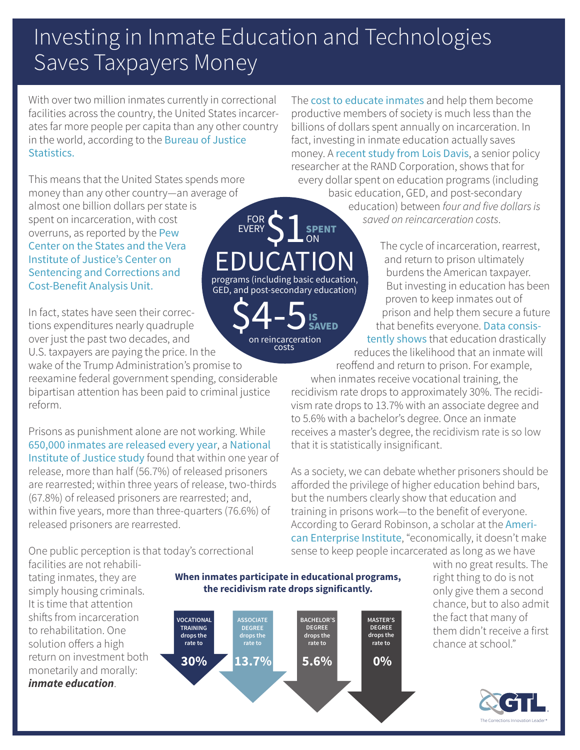## Investing in Inmate Education and Technologies Saves Taxpayers Money

ON

IS SAVED

 $$4-5$ <sub>SAN</sub>

costs

With over two million inmates currently in correctional facilities across the country, the United States incarcerates far more people per capita than any other country [in the world, according to the](https://www.bjs.gov/index.cfm?ty=pbdetail&iid=5870) Bureau of Justice Statistics.

This means that the United States spends more money than any other country—an average of almost one billion dollars per state is spent on incarceration, with cost overruns, as reported by the Pew [Center on the States and the Vera](http://archive.vera.org/sites/default/files/resources/downloads/price-of-prisons-updated-version-021914.pdf)  Institute of Justice's Center on Sentencing and Corrections and Cost-Benefit Analysis Unit. EDUCATION programs (including basic education, GED, and post-secondary education)

In fact, states have seen their corrections expenditures nearly quadruple over just the past two decades, and U.S. taxpayers are paying the price. In the

wake of the Trump Administration's promise to reexamine federal government spending, considerable bipartisan attention has been paid to criminal justice reform.

Prisons as punishment alone are not working. While [650,000 inmates are released every year](https://www.justice.gov/archive/fbci/progmenu_reentry.html), a [National](https://www.nij.gov/topics/corrections/recidivism/Pages/welcome.aspx)  [Institute of Justice study](https://www.nij.gov/topics/corrections/recidivism/Pages/welcome.aspx) found that within one year of release, more than half (56.7%) of released prisoners are rearrested; within three years of release, two-thirds (67.8%) of released prisoners are rearrested; and, within five years, more than three-quarters (76.6%) of released prisoners are rearrested.

One public perception is that today's correctional

The [cost to educate inmates](http://money.cnn.com/infographic/economy/education-vs-prison-costs/) and help them become productive members of society is much less than the billions of dollars spent annually on incarceration. In fact, investing in inmate education actually saves money. A [recent study from Lois Davis](http://www.rand.org/content/dam/rand/pubs/research_reports/RR200/RR266/RAND_RR266.sum.pdf), a senior policy researcher at the RAND Corporation, shows that for every dollar spent on education programs (including basic education, GED, and post-secondary education) between *four and five dollars is saved on reincarceration costs*. FOR S1 **SPENT** 

The cycle of incarceration, rearrest, and return to prison ultimately burdens the American taxpayer. But investing in education has been proven to keep inmates out of prison and help them secure a future that benefits everyone. Data consistently shows [that education drastically](http://www.prisoneducation.com/prison-education-facts/prison-education-reduces-recidivism/) reduces the likelihood that an inmate will

reoffend and return to prison. For example,

when inmates receive vocational training, the recidivism rate drops to approximately 30%. The recidivism rate drops to 13.7% with an associate degree and to 5.6% with a bachelor's degree. Once an inmate receives a master's degree, the recidivism rate is so low that it is statistically insignificant.

As a society, we can debate whether prisoners should be afforded the privilege of higher education behind bars, but the numbers clearly show that education and training in prisons work—to the benefit of everyone. [According to Gerard Robinson, a scholar at the](https://www.aei.org/scholar/gerard-robinson/) American Enterprise Institute, "economically, it doesn't make sense to keep people incarcerated as long as we have

facilities are not rehabilitating inmates, they are simply housing criminals. It is time that attention shifts from incarceration to rehabilitation. One solution offers a high return on investment both monetarily and morally: *inmate education*.





with no great results. The right thing to do is not only give them a second chance, but to also admit the fact that many of them didn't receive a first chance at school."